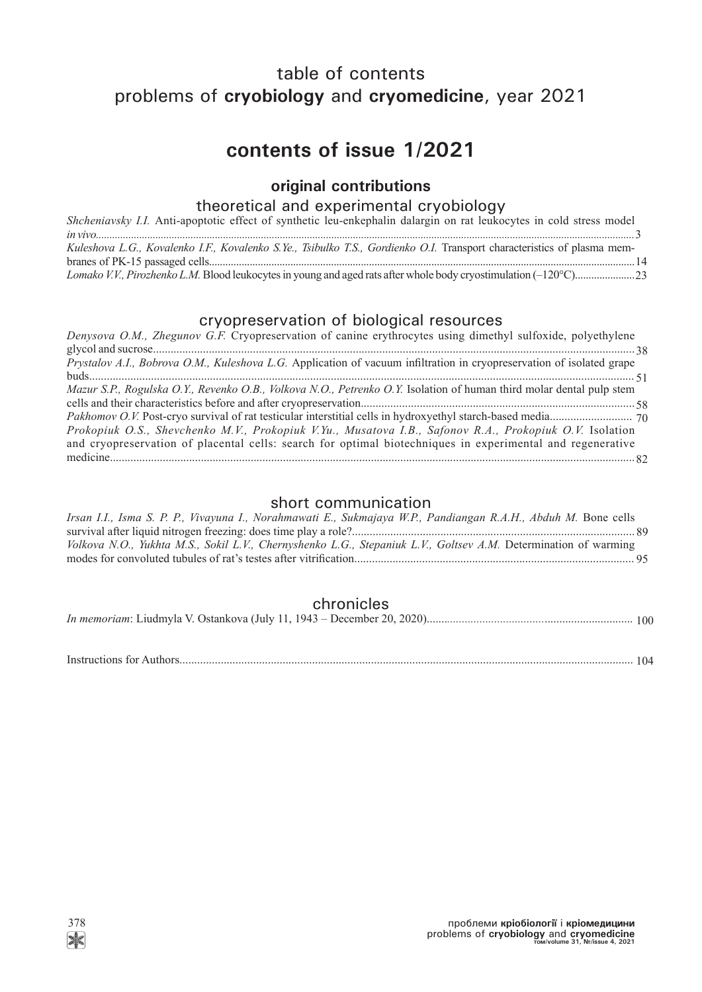# table of contents problems of **cryobiology** and **cryomedicine**, year 2021

# **contents of issue 1/2021**

## **original contributions**

## theoretical and experimental cryobiology

| Shcheniavsky I.I. Anti-apoptotic effect of synthetic leu-enkephalin dalargin on rat leukocytes in cold stress model     |  |
|-------------------------------------------------------------------------------------------------------------------------|--|
|                                                                                                                         |  |
| Kuleshova L.G., Kovalenko I.F., Kovalenko S.Ye., Tsibulko T.S., Gordienko O.I. Transport characteristics of plasma mem- |  |
|                                                                                                                         |  |
|                                                                                                                         |  |

# cryopreservation of biological resources

| Denysova O.M., Zhegunov G.F. Cryopreservation of canine erythrocytes using dimethyl sulfoxide, polyethylene           |
|-----------------------------------------------------------------------------------------------------------------------|
|                                                                                                                       |
| Prystalov A.I., Bobrova O.M., Kuleshova L.G. Application of vacuum infiltration in cryopreservation of isolated grape |
|                                                                                                                       |
| Mazur S.P., Rogulska O.Y., Revenko O.B., Volkova N.O., Petrenko O.Y. Isolation of human third molar dental pulp stem  |
|                                                                                                                       |
|                                                                                                                       |
| Prokopiuk O.S., Shevchenko M.V., Prokopiuk V.Yu., Musatova I.B., Safonov R.A., Prokopiuk O.V. Isolation               |
| and cryopreservation of placental cells: search for optimal biotechniques in experimental and regenerative            |
|                                                                                                                       |

### short communication

| Irsan I.I., Isma S. P. P., Vivayuna I., Norahmawati E., Sukmajaya W.P., Pandiangan R.A.H., Abduh M. Bone cells  |  |
|-----------------------------------------------------------------------------------------------------------------|--|
|                                                                                                                 |  |
| Volkova N.O., Yukhta M.S., Sokil L.V., Chernyshenko L.G., Stepaniuk L.V., Goltsev A.M. Determination of warming |  |
|                                                                                                                 |  |

## chronicles

|--|--|--|--|

Instructions for Authors.......................................................................................................................................................... 104

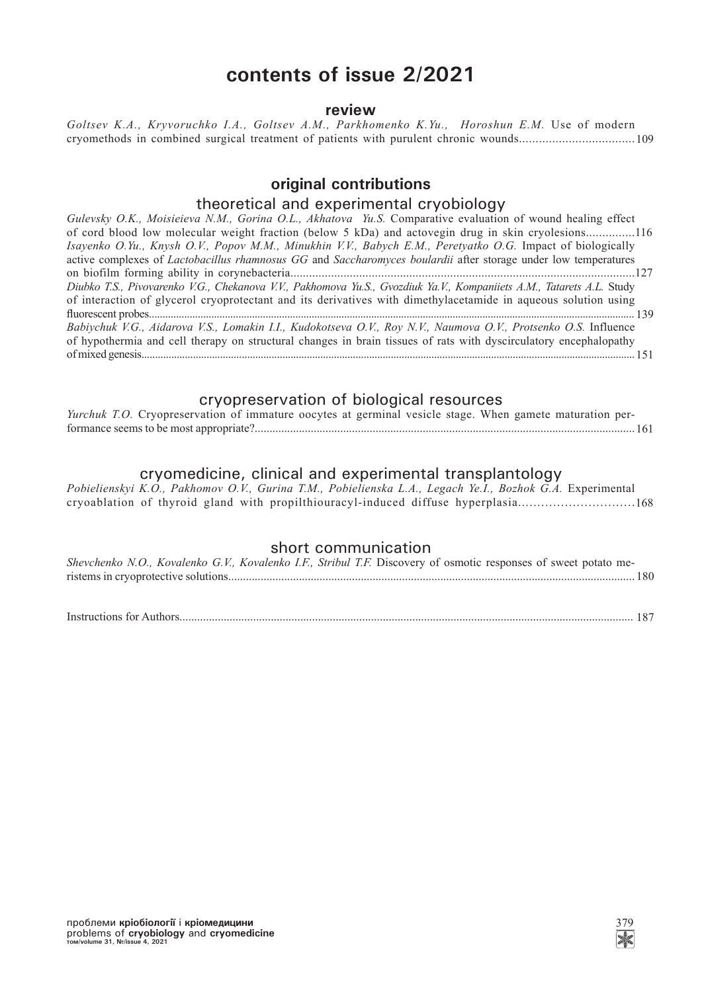# **contents of issue 2/2021**

#### **review**

*Goltsev K.A., Kryvoruchko I.A., Goltsev А.М., Parkhomenko K.Yu., Horoshun E.M.* Use of modern cryomethods in combined surgical treatment of patients with purulent chronic wounds................................... 109

### **original contributions**

#### theoretical and experimental cryobiology

*Gulevsky O.K., Moisieieva N.M., Gorina O.L., Akhatova Yu.S.* Comparative evaluation of wound healing effect of cord blood low molecular weight fraction (below 5 kDa) and actovegin drug in skin cryolesions............... 116 *Isayenko O.Yu., Knysh O.V., Popov M.M., Minukhin V.V., Babych E.M., Peretyatko O.G.* Impact of biologically active complexes of *Lactobacillus rhamnosus GG* and *Saccharomyces boulardii* after storage under low temperatures on biofilm forming ability in corynebacteria.............................................................................................................. 127 *Diubko T.S., Pivovarenko V.G., Chekanova V.V., Pakhomova Yu.S., Gvozdiuk Ya.V., Kompaniiets A.M., Tatarets A.L.* Study of interaction of glycerol cryoprotectant and its derivatives with dimethylacetamide in aqueous solution using fl uorescent probes................................................................................................................................................................................... 139 *Babiychuk V.G., Aidarova V.S., Lomakin I.I., Kudokotseva O.V., Roy N.V., Naumova O.V., Protsenko О.S.* Influence of hypothermia and cell therapy on structural changes in brain tissues of rats with dyscirculatory encephalopathy of mixed genesis...................................................................................................................................................................................... 151

#### cryopreservation of biological resources

| Yurchuk T.O. Cryopreservation of immature oocytes at germinal vesicle stage. When gamete maturation per- |  |  |  |  |  |
|----------------------------------------------------------------------------------------------------------|--|--|--|--|--|
|                                                                                                          |  |  |  |  |  |

#### cryomedicine, clinical and experimental transplantology

*Pobielienskyi K.O., Pakhomov O.V., Gurina T.M., Pobielienska L.A., Legach Ye.I., Bozhok G.A.* Experimental cryoablation of thyroid gland with propilthiouracyl-induced diffuse hyperplasia.............................. 168

### short communication

| Shevchenko N.O., Kovalenko G.V., Kovalenko I.F., Stribul T.F. Discovery of osmotic responses of sweet potato me- |  |  |  |  |
|------------------------------------------------------------------------------------------------------------------|--|--|--|--|
|                                                                                                                  |  |  |  |  |

Instructions for Authors.......................................................................................................................................................... 187

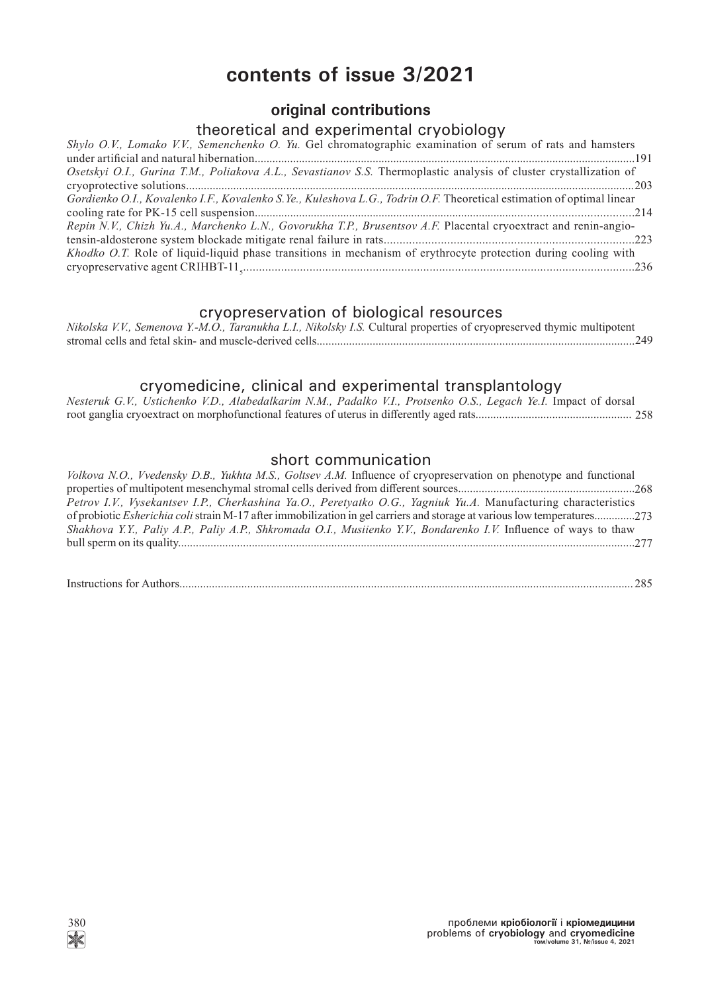# **contents of issue 3/2021**

## **original contributions**

## theoretical and experimental cryobiology

| Shylo O.V., Lomako V.V., Semenchenko O. Yu. Gel chromatographic examination of serum of rats and hamsters             |
|-----------------------------------------------------------------------------------------------------------------------|
|                                                                                                                       |
| Osetskyi O.I., Gurina T.M., Poliakova A.L., Sevastianov S.S. Thermoplastic analysis of cluster crystallization of     |
|                                                                                                                       |
| Gordienko O.I., Kovalenko I.F., Kovalenko S.Ye., Kuleshova L.G., Todrin O.F. Theoretical estimation of optimal linear |
|                                                                                                                       |
| Repin N.V., Chizh Yu.A., Marchenko L.N., Govorukha T.P., Brusentsov A.F. Placental cryoextract and renin-angio-       |
|                                                                                                                       |
| Khodko O.T. Role of liquid-liquid phase transitions in mechanism of erythrocyte protection during cooling with        |
|                                                                                                                       |

## cryopreservation of biological resources

| Nikolska V.V., Semenova Y.-M.O., Taranukha L.I., Nikolsky I.S. Cultural properties of cryopreserved thymic multipotent |  |  |
|------------------------------------------------------------------------------------------------------------------------|--|--|
| stromal cells and fetal skin- and muscle-derived cells                                                                 |  |  |

## cryomedicine, clinical and experimental transplantology

|  | Nesteruk G.V., Ustichenko V.D., Alabedalkarim N.M., Padalko V.I., Protsenko O.S., Legach Ye.I. Impact of dorsal |  |  |  |  |  |
|--|-----------------------------------------------------------------------------------------------------------------|--|--|--|--|--|
|  |                                                                                                                 |  |  |  |  |  |

## short communication

| Volkova N.O., Vvedensky D.B., Yukhta M.S., Goltsev A.M. Influence of cryopreservation on phenotype and functional               |  |
|---------------------------------------------------------------------------------------------------------------------------------|--|
|                                                                                                                                 |  |
| Petrov I.V., Vysekantsev I.P., Cherkashina Ya.O., Peretyatko O.G., Yagniuk Yu.A. Manufacturing characteristics                  |  |
| of probiotic <i>Esherichia coli</i> strain M-17 after immobilization in gel carriers and storage at various low temperatures273 |  |
| Shakhova Y.Y., Paliy A.P., Paliy A.P., Shkromada O.I., Musiienko Y.V., Bondarenko I.V. Influence of ways to thaw                |  |
|                                                                                                                                 |  |
|                                                                                                                                 |  |

| Instructions for Aut |
|----------------------|
|----------------------|